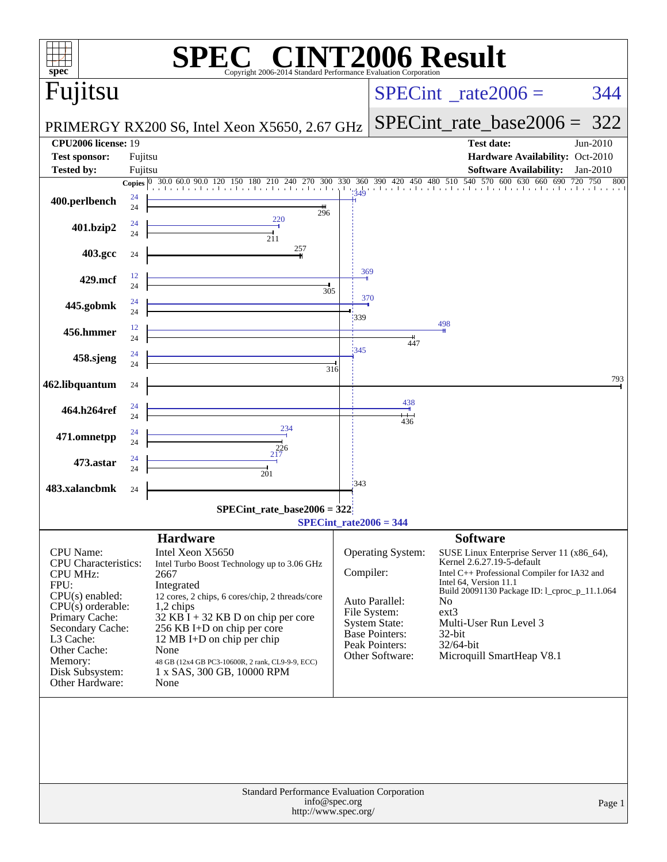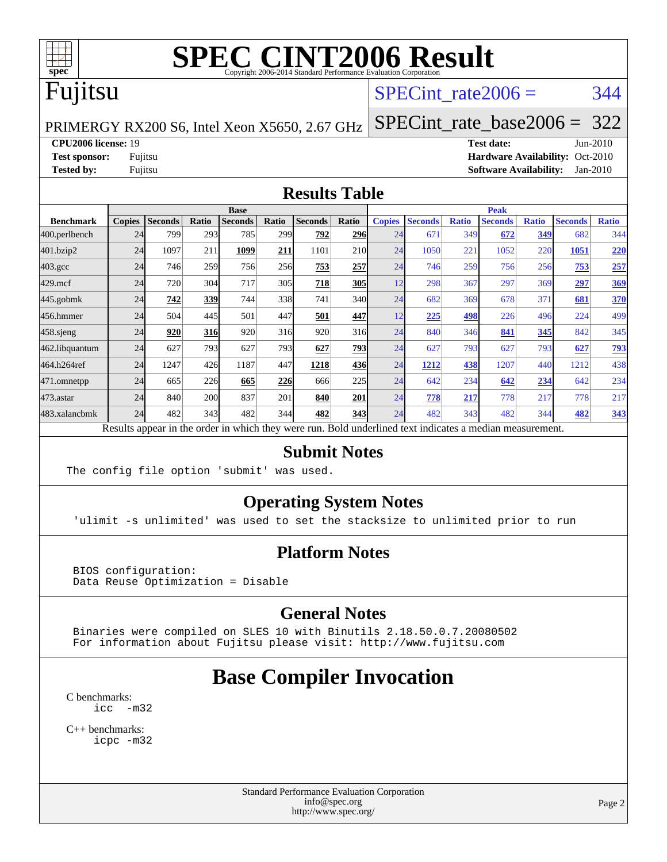

## Fujitsu

#### SPECint rate $2006 = 344$

PRIMERGY RX200 S6, Intel Xeon X5650, 2.67 GHz

[SPECint\\_rate\\_base2006 =](http://www.spec.org/auto/cpu2006/Docs/result-fields.html#SPECintratebase2006) 322

**[CPU2006 license:](http://www.spec.org/auto/cpu2006/Docs/result-fields.html#CPU2006license)** 19 **[Test date:](http://www.spec.org/auto/cpu2006/Docs/result-fields.html#Testdate)** Jun-2010

**[Test sponsor:](http://www.spec.org/auto/cpu2006/Docs/result-fields.html#Testsponsor)** Fujitsu **[Hardware Availability:](http://www.spec.org/auto/cpu2006/Docs/result-fields.html#HardwareAvailability)** Oct-2010 **[Tested by:](http://www.spec.org/auto/cpu2006/Docs/result-fields.html#Testedby)** Fujitsu **[Software Availability:](http://www.spec.org/auto/cpu2006/Docs/result-fields.html#SoftwareAvailability)** Jan-2010

#### **[Results Table](http://www.spec.org/auto/cpu2006/Docs/result-fields.html#ResultsTable)**

|                  | <b>Base</b>   |                |            |                                                                                                          |       |                |       | <b>Peak</b>   |                |              |                |              |                |              |
|------------------|---------------|----------------|------------|----------------------------------------------------------------------------------------------------------|-------|----------------|-------|---------------|----------------|--------------|----------------|--------------|----------------|--------------|
| <b>Benchmark</b> | <b>Copies</b> | <b>Seconds</b> | Ratio      | <b>Seconds</b>                                                                                           | Ratio | <b>Seconds</b> | Ratio | <b>Copies</b> | <b>Seconds</b> | <b>Ratio</b> | <b>Seconds</b> | <b>Ratio</b> | <b>Seconds</b> | <b>Ratio</b> |
| 400.perlbench    | 24            | 799            | 293        | 785                                                                                                      | 299   | 792            | 296   | 24            | 671            | 349          | 672            | 349          | 682            | 344          |
| 401.bzip2        | 24            | 1097           | 211        | 1099                                                                                                     | 211   | 1101           | 210   | 24            | 1050           | 221          | 1052           | 220          | 1051           | 220          |
| $403.\text{gcc}$ | 24            | 746            | 259        | 756                                                                                                      | 256   | 753            | 257   | 24            | 746            | 259          | 756            | 256          | 753            | 257          |
| $429$ .mcf       | 24            | 720            | 304        | 717                                                                                                      | 305   | 718            | 305   | 12            | 298            | 367          | 297            | 369          | 297            | 369          |
| 445.gobmk        | 24            | 742            | 339        | 744                                                                                                      | 338   | 741            | 340l  | 24            | 682            | 369          | 678            | 371          | 681            | 370          |
| 456.hmmer        | 24            | 504            | 445        | 501                                                                                                      | 447   | 501            | 447   | 12            | 225            | 498          | 226            | 496          | 224            | 499          |
| $458$ .sjeng     | 24            | 920            | <b>316</b> | 920                                                                                                      | 316   | 920            | 316   | 24            | 840            | 346          | 841            | 345          | 842            | 345          |
| 462.libquantum   | 24            | 627            | 793        | 627                                                                                                      | 793   | 627            | 793   | 24            | 627            | 793          | 627            | 793          | 627            | <u>793</u>   |
| 464.h264ref      | 24            | 1247           | 426        | 1187                                                                                                     | 447   | 1218           | 436   | 24            | 1212           | 438          | 1207           | 440          | 1212           | 438          |
| 471.omnetpp      | 24            | 665            | 226        | 665                                                                                                      | 226   | 666            | 225   | 24            | 642            | 234          | 642            | 234          | 642            | 234          |
| $473$ . astar    | 24            | 840            | 200        | 837                                                                                                      | 201   | 840            | 201   | 24            | 778            | 217          | 778            | 217          | 778            | 217          |
| 483.xalancbmk    | 24            | 482            | 343        | 482                                                                                                      | 344   | 482            | 343   | 24            | 482            | 343          | 482            | 344          | 482            | 343          |
|                  |               |                |            | Results appear in the order in which they were run. Bold underlined text indicates a median measurement. |       |                |       |               |                |              |                |              |                |              |

#### **[Submit Notes](http://www.spec.org/auto/cpu2006/Docs/result-fields.html#SubmitNotes)**

The config file option 'submit' was used.

#### **[Operating System Notes](http://www.spec.org/auto/cpu2006/Docs/result-fields.html#OperatingSystemNotes)**

'ulimit -s unlimited' was used to set the stacksize to unlimited prior to run

#### **[Platform Notes](http://www.spec.org/auto/cpu2006/Docs/result-fields.html#PlatformNotes)**

 BIOS configuration: Data Reuse Optimization = Disable

#### **[General Notes](http://www.spec.org/auto/cpu2006/Docs/result-fields.html#GeneralNotes)**

 Binaries were compiled on SLES 10 with Binutils 2.18.50.0.7.20080502 For information about Fujitsu please visit: <http://www.fujitsu.com>

### **[Base Compiler Invocation](http://www.spec.org/auto/cpu2006/Docs/result-fields.html#BaseCompilerInvocation)**

[C benchmarks](http://www.spec.org/auto/cpu2006/Docs/result-fields.html#Cbenchmarks): [icc -m32](http://www.spec.org/cpu2006/results/res2010q3/cpu2006-20100706-12289.flags.html#user_CCbase_intel_icc_32bit_5ff4a39e364c98233615fdd38438c6f2)

[C++ benchmarks:](http://www.spec.org/auto/cpu2006/Docs/result-fields.html#CXXbenchmarks) [icpc -m32](http://www.spec.org/cpu2006/results/res2010q3/cpu2006-20100706-12289.flags.html#user_CXXbase_intel_icpc_32bit_4e5a5ef1a53fd332b3c49e69c3330699)

> Standard Performance Evaluation Corporation [info@spec.org](mailto:info@spec.org) <http://www.spec.org/>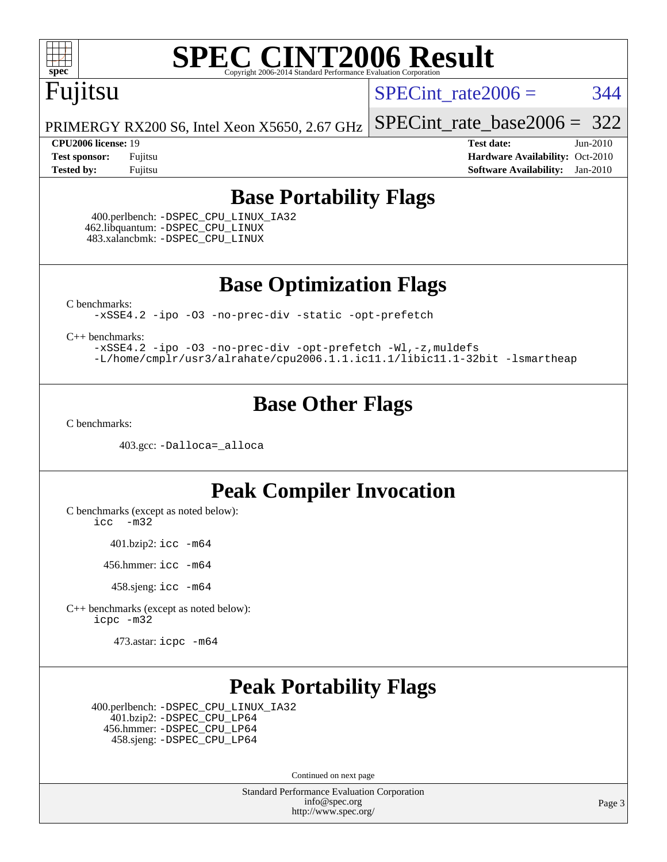

### Fujitsu

SPECint rate $2006 = 344$ 

[SPECint\\_rate\\_base2006 =](http://www.spec.org/auto/cpu2006/Docs/result-fields.html#SPECintratebase2006) 322

PRIMERGY RX200 S6, Intel Xeon X5650, 2.67 GHz

**[CPU2006 license:](http://www.spec.org/auto/cpu2006/Docs/result-fields.html#CPU2006license)** 19 **[Test date:](http://www.spec.org/auto/cpu2006/Docs/result-fields.html#Testdate)** Jun-2010 **[Test sponsor:](http://www.spec.org/auto/cpu2006/Docs/result-fields.html#Testsponsor)** Fujitsu **[Hardware Availability:](http://www.spec.org/auto/cpu2006/Docs/result-fields.html#HardwareAvailability)** Oct-2010 **[Tested by:](http://www.spec.org/auto/cpu2006/Docs/result-fields.html#Testedby)** Fujitsu **[Software Availability:](http://www.spec.org/auto/cpu2006/Docs/result-fields.html#SoftwareAvailability)** Jan-2010

#### **[Base Portability Flags](http://www.spec.org/auto/cpu2006/Docs/result-fields.html#BasePortabilityFlags)**

 400.perlbench: [-DSPEC\\_CPU\\_LINUX\\_IA32](http://www.spec.org/cpu2006/results/res2010q3/cpu2006-20100706-12289.flags.html#b400.perlbench_baseCPORTABILITY_DSPEC_CPU_LINUX_IA32) 462.libquantum: [-DSPEC\\_CPU\\_LINUX](http://www.spec.org/cpu2006/results/res2010q3/cpu2006-20100706-12289.flags.html#b462.libquantum_baseCPORTABILITY_DSPEC_CPU_LINUX) 483.xalancbmk: [-DSPEC\\_CPU\\_LINUX](http://www.spec.org/cpu2006/results/res2010q3/cpu2006-20100706-12289.flags.html#b483.xalancbmk_baseCXXPORTABILITY_DSPEC_CPU_LINUX)

**[Base Optimization Flags](http://www.spec.org/auto/cpu2006/Docs/result-fields.html#BaseOptimizationFlags)**

[C benchmarks](http://www.spec.org/auto/cpu2006/Docs/result-fields.html#Cbenchmarks):

[-xSSE4.2](http://www.spec.org/cpu2006/results/res2010q3/cpu2006-20100706-12289.flags.html#user_CCbase_f-xSSE42_f91528193cf0b216347adb8b939d4107) [-ipo](http://www.spec.org/cpu2006/results/res2010q3/cpu2006-20100706-12289.flags.html#user_CCbase_f-ipo) [-O3](http://www.spec.org/cpu2006/results/res2010q3/cpu2006-20100706-12289.flags.html#user_CCbase_f-O3) [-no-prec-div](http://www.spec.org/cpu2006/results/res2010q3/cpu2006-20100706-12289.flags.html#user_CCbase_f-no-prec-div) [-static](http://www.spec.org/cpu2006/results/res2010q3/cpu2006-20100706-12289.flags.html#user_CCbase_f-static) [-opt-prefetch](http://www.spec.org/cpu2006/results/res2010q3/cpu2006-20100706-12289.flags.html#user_CCbase_f-opt-prefetch)

[C++ benchmarks:](http://www.spec.org/auto/cpu2006/Docs/result-fields.html#CXXbenchmarks)

[-xSSE4.2](http://www.spec.org/cpu2006/results/res2010q3/cpu2006-20100706-12289.flags.html#user_CXXbase_f-xSSE42_f91528193cf0b216347adb8b939d4107) [-ipo](http://www.spec.org/cpu2006/results/res2010q3/cpu2006-20100706-12289.flags.html#user_CXXbase_f-ipo) [-O3](http://www.spec.org/cpu2006/results/res2010q3/cpu2006-20100706-12289.flags.html#user_CXXbase_f-O3) [-no-prec-div](http://www.spec.org/cpu2006/results/res2010q3/cpu2006-20100706-12289.flags.html#user_CXXbase_f-no-prec-div) [-opt-prefetch](http://www.spec.org/cpu2006/results/res2010q3/cpu2006-20100706-12289.flags.html#user_CXXbase_f-opt-prefetch) [-Wl,-z,muldefs](http://www.spec.org/cpu2006/results/res2010q3/cpu2006-20100706-12289.flags.html#user_CXXbase_link_force_multiple1_74079c344b956b9658436fd1b6dd3a8a) [-L/home/cmplr/usr3/alrahate/cpu2006.1.1.ic11.1/libic11.1-32bit -lsmartheap](http://www.spec.org/cpu2006/results/res2010q3/cpu2006-20100706-12289.flags.html#user_CXXbase_SmartHeap_d86dffe4a79b79ef8890d5cce17030c3)

#### **[Base Other Flags](http://www.spec.org/auto/cpu2006/Docs/result-fields.html#BaseOtherFlags)**

[C benchmarks](http://www.spec.org/auto/cpu2006/Docs/result-fields.html#Cbenchmarks):

403.gcc: [-Dalloca=\\_alloca](http://www.spec.org/cpu2006/results/res2010q3/cpu2006-20100706-12289.flags.html#b403.gcc_baseEXTRA_CFLAGS_Dalloca_be3056838c12de2578596ca5467af7f3)

#### **[Peak Compiler Invocation](http://www.spec.org/auto/cpu2006/Docs/result-fields.html#PeakCompilerInvocation)**

[C benchmarks \(except as noted below\)](http://www.spec.org/auto/cpu2006/Docs/result-fields.html#Cbenchmarksexceptasnotedbelow):

[icc -m32](http://www.spec.org/cpu2006/results/res2010q3/cpu2006-20100706-12289.flags.html#user_CCpeak_intel_icc_32bit_5ff4a39e364c98233615fdd38438c6f2)

401.bzip2: [icc -m64](http://www.spec.org/cpu2006/results/res2010q3/cpu2006-20100706-12289.flags.html#user_peakCCLD401_bzip2_intel_icc_64bit_bda6cc9af1fdbb0edc3795bac97ada53)

456.hmmer: [icc -m64](http://www.spec.org/cpu2006/results/res2010q3/cpu2006-20100706-12289.flags.html#user_peakCCLD456_hmmer_intel_icc_64bit_bda6cc9af1fdbb0edc3795bac97ada53)

458.sjeng: [icc -m64](http://www.spec.org/cpu2006/results/res2010q3/cpu2006-20100706-12289.flags.html#user_peakCCLD458_sjeng_intel_icc_64bit_bda6cc9af1fdbb0edc3795bac97ada53)

[C++ benchmarks \(except as noted below\):](http://www.spec.org/auto/cpu2006/Docs/result-fields.html#CXXbenchmarksexceptasnotedbelow) [icpc -m32](http://www.spec.org/cpu2006/results/res2010q3/cpu2006-20100706-12289.flags.html#user_CXXpeak_intel_icpc_32bit_4e5a5ef1a53fd332b3c49e69c3330699)

473.astar: [icpc -m64](http://www.spec.org/cpu2006/results/res2010q3/cpu2006-20100706-12289.flags.html#user_peakCXXLD473_astar_intel_icpc_64bit_fc66a5337ce925472a5c54ad6a0de310)

#### **[Peak Portability Flags](http://www.spec.org/auto/cpu2006/Docs/result-fields.html#PeakPortabilityFlags)**

 400.perlbench: [-DSPEC\\_CPU\\_LINUX\\_IA32](http://www.spec.org/cpu2006/results/res2010q3/cpu2006-20100706-12289.flags.html#b400.perlbench_peakCPORTABILITY_DSPEC_CPU_LINUX_IA32) 401.bzip2: [-DSPEC\\_CPU\\_LP64](http://www.spec.org/cpu2006/results/res2010q3/cpu2006-20100706-12289.flags.html#suite_peakCPORTABILITY401_bzip2_DSPEC_CPU_LP64) 456.hmmer: [-DSPEC\\_CPU\\_LP64](http://www.spec.org/cpu2006/results/res2010q3/cpu2006-20100706-12289.flags.html#suite_peakCPORTABILITY456_hmmer_DSPEC_CPU_LP64) 458.sjeng: [-DSPEC\\_CPU\\_LP64](http://www.spec.org/cpu2006/results/res2010q3/cpu2006-20100706-12289.flags.html#suite_peakCPORTABILITY458_sjeng_DSPEC_CPU_LP64)

Continued on next page

Standard Performance Evaluation Corporation [info@spec.org](mailto:info@spec.org) <http://www.spec.org/>

Page 3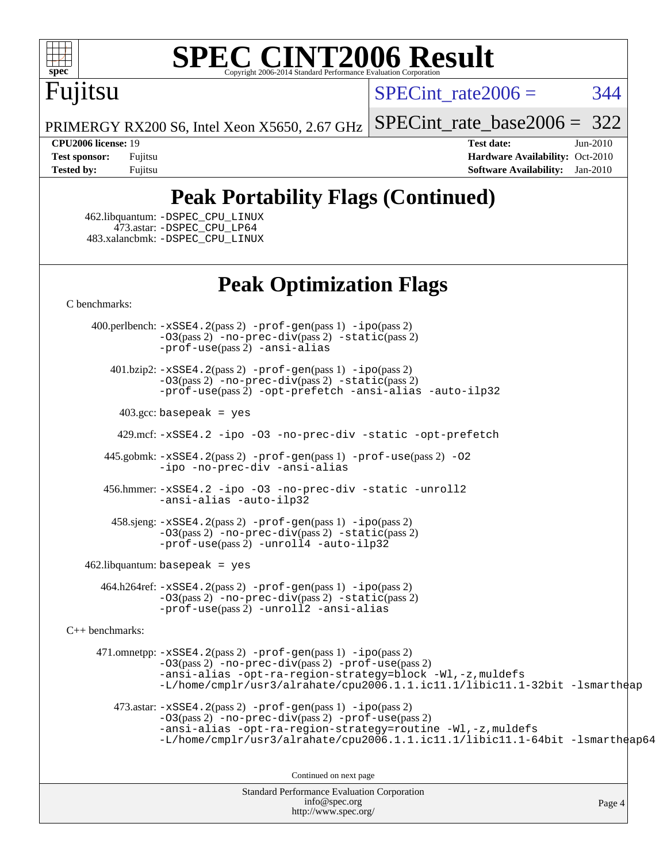

# Fujitsu

 $SPECint rate2006 = 344$ 

[SPECint\\_rate\\_base2006 =](http://www.spec.org/auto/cpu2006/Docs/result-fields.html#SPECintratebase2006) 322

PRIMERGY RX200 S6, Intel Xeon X5650, 2.67 GHz

**[CPU2006 license:](http://www.spec.org/auto/cpu2006/Docs/result-fields.html#CPU2006license)** 19 **[Test date:](http://www.spec.org/auto/cpu2006/Docs/result-fields.html#Testdate)** Jun-2010 **[Test sponsor:](http://www.spec.org/auto/cpu2006/Docs/result-fields.html#Testsponsor)** Fujitsu **[Hardware Availability:](http://www.spec.org/auto/cpu2006/Docs/result-fields.html#HardwareAvailability)** Oct-2010 **[Tested by:](http://www.spec.org/auto/cpu2006/Docs/result-fields.html#Testedby)** Fujitsu **[Software Availability:](http://www.spec.org/auto/cpu2006/Docs/result-fields.html#SoftwareAvailability)** Jan-2010

### **[Peak Portability Flags \(Continued\)](http://www.spec.org/auto/cpu2006/Docs/result-fields.html#PeakPortabilityFlags)**

 462.libquantum: [-DSPEC\\_CPU\\_LINUX](http://www.spec.org/cpu2006/results/res2010q3/cpu2006-20100706-12289.flags.html#b462.libquantum_peakCPORTABILITY_DSPEC_CPU_LINUX) 473.astar: [-DSPEC\\_CPU\\_LP64](http://www.spec.org/cpu2006/results/res2010q3/cpu2006-20100706-12289.flags.html#suite_peakCXXPORTABILITY473_astar_DSPEC_CPU_LP64) 483.xalancbmk: [-DSPEC\\_CPU\\_LINUX](http://www.spec.org/cpu2006/results/res2010q3/cpu2006-20100706-12289.flags.html#b483.xalancbmk_peakCXXPORTABILITY_DSPEC_CPU_LINUX)

#### **[Peak Optimization Flags](http://www.spec.org/auto/cpu2006/Docs/result-fields.html#PeakOptimizationFlags)**

[C benchmarks](http://www.spec.org/auto/cpu2006/Docs/result-fields.html#Cbenchmarks):

 400.perlbench: [-xSSE4.2](http://www.spec.org/cpu2006/results/res2010q3/cpu2006-20100706-12289.flags.html#user_peakPASS2_CFLAGSPASS2_LDCFLAGS400_perlbench_f-xSSE42_f91528193cf0b216347adb8b939d4107)(pass 2) [-prof-gen](http://www.spec.org/cpu2006/results/res2010q3/cpu2006-20100706-12289.flags.html#user_peakPASS1_CFLAGSPASS1_LDCFLAGS400_perlbench_prof_gen_e43856698f6ca7b7e442dfd80e94a8fc)(pass 1) [-ipo](http://www.spec.org/cpu2006/results/res2010q3/cpu2006-20100706-12289.flags.html#user_peakPASS2_CFLAGSPASS2_LDCFLAGS400_perlbench_f-ipo)(pass 2) [-O3](http://www.spec.org/cpu2006/results/res2010q3/cpu2006-20100706-12289.flags.html#user_peakPASS2_CFLAGSPASS2_LDCFLAGS400_perlbench_f-O3)(pass 2) [-no-prec-div](http://www.spec.org/cpu2006/results/res2010q3/cpu2006-20100706-12289.flags.html#user_peakPASS2_CFLAGSPASS2_LDCFLAGS400_perlbench_f-no-prec-div)(pass 2) [-static](http://www.spec.org/cpu2006/results/res2010q3/cpu2006-20100706-12289.flags.html#user_peakPASS2_CFLAGSPASS2_LDCFLAGS400_perlbench_f-static)(pass 2) [-prof-use](http://www.spec.org/cpu2006/results/res2010q3/cpu2006-20100706-12289.flags.html#user_peakPASS2_CFLAGSPASS2_LDCFLAGS400_perlbench_prof_use_bccf7792157ff70d64e32fe3e1250b55)(pass 2) [-ansi-alias](http://www.spec.org/cpu2006/results/res2010q3/cpu2006-20100706-12289.flags.html#user_peakCOPTIMIZE400_perlbench_f-ansi-alias)

 401.bzip2: [-xSSE4.2](http://www.spec.org/cpu2006/results/res2010q3/cpu2006-20100706-12289.flags.html#user_peakPASS2_CFLAGSPASS2_LDCFLAGS401_bzip2_f-xSSE42_f91528193cf0b216347adb8b939d4107)(pass 2) [-prof-gen](http://www.spec.org/cpu2006/results/res2010q3/cpu2006-20100706-12289.flags.html#user_peakPASS1_CFLAGSPASS1_LDCFLAGS401_bzip2_prof_gen_e43856698f6ca7b7e442dfd80e94a8fc)(pass 1) [-ipo](http://www.spec.org/cpu2006/results/res2010q3/cpu2006-20100706-12289.flags.html#user_peakPASS2_CFLAGSPASS2_LDCFLAGS401_bzip2_f-ipo)(pass 2) [-O3](http://www.spec.org/cpu2006/results/res2010q3/cpu2006-20100706-12289.flags.html#user_peakPASS2_CFLAGSPASS2_LDCFLAGS401_bzip2_f-O3)(pass 2) [-no-prec-div](http://www.spec.org/cpu2006/results/res2010q3/cpu2006-20100706-12289.flags.html#user_peakPASS2_CFLAGSPASS2_LDCFLAGS401_bzip2_f-no-prec-div)(pass 2) [-static](http://www.spec.org/cpu2006/results/res2010q3/cpu2006-20100706-12289.flags.html#user_peakPASS2_CFLAGSPASS2_LDCFLAGS401_bzip2_f-static)(pass 2) [-prof-use](http://www.spec.org/cpu2006/results/res2010q3/cpu2006-20100706-12289.flags.html#user_peakPASS2_CFLAGSPASS2_LDCFLAGS401_bzip2_prof_use_bccf7792157ff70d64e32fe3e1250b55)(pass 2) [-opt-prefetch](http://www.spec.org/cpu2006/results/res2010q3/cpu2006-20100706-12289.flags.html#user_peakCOPTIMIZE401_bzip2_f-opt-prefetch) [-ansi-alias](http://www.spec.org/cpu2006/results/res2010q3/cpu2006-20100706-12289.flags.html#user_peakCOPTIMIZE401_bzip2_f-ansi-alias) [-auto-ilp32](http://www.spec.org/cpu2006/results/res2010q3/cpu2006-20100706-12289.flags.html#user_peakCOPTIMIZE401_bzip2_f-auto-ilp32)

 $403.\text{gcc: basepeak}$  = yes

429.mcf: [-xSSE4.2](http://www.spec.org/cpu2006/results/res2010q3/cpu2006-20100706-12289.flags.html#user_peakCOPTIMIZE429_mcf_f-xSSE42_f91528193cf0b216347adb8b939d4107) [-ipo](http://www.spec.org/cpu2006/results/res2010q3/cpu2006-20100706-12289.flags.html#user_peakCOPTIMIZE429_mcf_f-ipo) [-O3](http://www.spec.org/cpu2006/results/res2010q3/cpu2006-20100706-12289.flags.html#user_peakCOPTIMIZE429_mcf_f-O3) [-no-prec-div](http://www.spec.org/cpu2006/results/res2010q3/cpu2006-20100706-12289.flags.html#user_peakCOPTIMIZE429_mcf_f-no-prec-div) [-static](http://www.spec.org/cpu2006/results/res2010q3/cpu2006-20100706-12289.flags.html#user_peakCOPTIMIZE429_mcf_f-static) [-opt-prefetch](http://www.spec.org/cpu2006/results/res2010q3/cpu2006-20100706-12289.flags.html#user_peakCOPTIMIZE429_mcf_f-opt-prefetch)

 445.gobmk: [-xSSE4.2](http://www.spec.org/cpu2006/results/res2010q3/cpu2006-20100706-12289.flags.html#user_peakPASS2_CFLAGSPASS2_LDCFLAGS445_gobmk_f-xSSE42_f91528193cf0b216347adb8b939d4107)(pass 2) [-prof-gen](http://www.spec.org/cpu2006/results/res2010q3/cpu2006-20100706-12289.flags.html#user_peakPASS1_CFLAGSPASS1_LDCFLAGS445_gobmk_prof_gen_e43856698f6ca7b7e442dfd80e94a8fc)(pass 1) [-prof-use](http://www.spec.org/cpu2006/results/res2010q3/cpu2006-20100706-12289.flags.html#user_peakPASS2_CFLAGSPASS2_LDCFLAGS445_gobmk_prof_use_bccf7792157ff70d64e32fe3e1250b55)(pass 2) [-O2](http://www.spec.org/cpu2006/results/res2010q3/cpu2006-20100706-12289.flags.html#user_peakCOPTIMIZE445_gobmk_f-O2) [-ipo](http://www.spec.org/cpu2006/results/res2010q3/cpu2006-20100706-12289.flags.html#user_peakCOPTIMIZE445_gobmk_f-ipo) [-no-prec-div](http://www.spec.org/cpu2006/results/res2010q3/cpu2006-20100706-12289.flags.html#user_peakCOPTIMIZE445_gobmk_f-no-prec-div) [-ansi-alias](http://www.spec.org/cpu2006/results/res2010q3/cpu2006-20100706-12289.flags.html#user_peakCOPTIMIZE445_gobmk_f-ansi-alias)

 456.hmmer: [-xSSE4.2](http://www.spec.org/cpu2006/results/res2010q3/cpu2006-20100706-12289.flags.html#user_peakCOPTIMIZE456_hmmer_f-xSSE42_f91528193cf0b216347adb8b939d4107) [-ipo](http://www.spec.org/cpu2006/results/res2010q3/cpu2006-20100706-12289.flags.html#user_peakCOPTIMIZE456_hmmer_f-ipo) [-O3](http://www.spec.org/cpu2006/results/res2010q3/cpu2006-20100706-12289.flags.html#user_peakCOPTIMIZE456_hmmer_f-O3) [-no-prec-div](http://www.spec.org/cpu2006/results/res2010q3/cpu2006-20100706-12289.flags.html#user_peakCOPTIMIZE456_hmmer_f-no-prec-div) [-static](http://www.spec.org/cpu2006/results/res2010q3/cpu2006-20100706-12289.flags.html#user_peakCOPTIMIZE456_hmmer_f-static) [-unroll2](http://www.spec.org/cpu2006/results/res2010q3/cpu2006-20100706-12289.flags.html#user_peakCOPTIMIZE456_hmmer_f-unroll_784dae83bebfb236979b41d2422d7ec2) [-ansi-alias](http://www.spec.org/cpu2006/results/res2010q3/cpu2006-20100706-12289.flags.html#user_peakCOPTIMIZE456_hmmer_f-ansi-alias) [-auto-ilp32](http://www.spec.org/cpu2006/results/res2010q3/cpu2006-20100706-12289.flags.html#user_peakCOPTIMIZE456_hmmer_f-auto-ilp32)

 458.sjeng: [-xSSE4.2](http://www.spec.org/cpu2006/results/res2010q3/cpu2006-20100706-12289.flags.html#user_peakPASS2_CFLAGSPASS2_LDCFLAGS458_sjeng_f-xSSE42_f91528193cf0b216347adb8b939d4107)(pass 2) [-prof-gen](http://www.spec.org/cpu2006/results/res2010q3/cpu2006-20100706-12289.flags.html#user_peakPASS1_CFLAGSPASS1_LDCFLAGS458_sjeng_prof_gen_e43856698f6ca7b7e442dfd80e94a8fc)(pass 1) [-ipo](http://www.spec.org/cpu2006/results/res2010q3/cpu2006-20100706-12289.flags.html#user_peakPASS2_CFLAGSPASS2_LDCFLAGS458_sjeng_f-ipo)(pass 2) [-O3](http://www.spec.org/cpu2006/results/res2010q3/cpu2006-20100706-12289.flags.html#user_peakPASS2_CFLAGSPASS2_LDCFLAGS458_sjeng_f-O3)(pass 2) [-no-prec-div](http://www.spec.org/cpu2006/results/res2010q3/cpu2006-20100706-12289.flags.html#user_peakPASS2_CFLAGSPASS2_LDCFLAGS458_sjeng_f-no-prec-div)(pass 2) [-static](http://www.spec.org/cpu2006/results/res2010q3/cpu2006-20100706-12289.flags.html#user_peakPASS2_CFLAGSPASS2_LDCFLAGS458_sjeng_f-static)(pass 2)  $-prof-use(pass 2) -unroll4 -auto-ilp32$  $-prof-use(pass 2) -unroll4 -auto-ilp32$  $-prof-use(pass 2) -unroll4 -auto-ilp32$  $-prof-use(pass 2) -unroll4 -auto-ilp32$  $-prof-use(pass 2) -unroll4 -auto-ilp32$ 

462.libquantum: basepeak = yes

 464.h264ref: [-xSSE4.2](http://www.spec.org/cpu2006/results/res2010q3/cpu2006-20100706-12289.flags.html#user_peakPASS2_CFLAGSPASS2_LDCFLAGS464_h264ref_f-xSSE42_f91528193cf0b216347adb8b939d4107)(pass 2) [-prof-gen](http://www.spec.org/cpu2006/results/res2010q3/cpu2006-20100706-12289.flags.html#user_peakPASS1_CFLAGSPASS1_LDCFLAGS464_h264ref_prof_gen_e43856698f6ca7b7e442dfd80e94a8fc)(pass 1) [-ipo](http://www.spec.org/cpu2006/results/res2010q3/cpu2006-20100706-12289.flags.html#user_peakPASS2_CFLAGSPASS2_LDCFLAGS464_h264ref_f-ipo)(pass 2) [-O3](http://www.spec.org/cpu2006/results/res2010q3/cpu2006-20100706-12289.flags.html#user_peakPASS2_CFLAGSPASS2_LDCFLAGS464_h264ref_f-O3)(pass 2) [-no-prec-div](http://www.spec.org/cpu2006/results/res2010q3/cpu2006-20100706-12289.flags.html#user_peakPASS2_CFLAGSPASS2_LDCFLAGS464_h264ref_f-no-prec-div)(pass 2) [-static](http://www.spec.org/cpu2006/results/res2010q3/cpu2006-20100706-12289.flags.html#user_peakPASS2_CFLAGSPASS2_LDCFLAGS464_h264ref_f-static)(pass 2) [-prof-use](http://www.spec.org/cpu2006/results/res2010q3/cpu2006-20100706-12289.flags.html#user_peakPASS2_CFLAGSPASS2_LDCFLAGS464_h264ref_prof_use_bccf7792157ff70d64e32fe3e1250b55)(pass 2) [-unroll2](http://www.spec.org/cpu2006/results/res2010q3/cpu2006-20100706-12289.flags.html#user_peakCOPTIMIZE464_h264ref_f-unroll_784dae83bebfb236979b41d2422d7ec2) [-ansi-alias](http://www.spec.org/cpu2006/results/res2010q3/cpu2006-20100706-12289.flags.html#user_peakCOPTIMIZE464_h264ref_f-ansi-alias)

[C++ benchmarks:](http://www.spec.org/auto/cpu2006/Docs/result-fields.html#CXXbenchmarks)

 471.omnetpp: [-xSSE4.2](http://www.spec.org/cpu2006/results/res2010q3/cpu2006-20100706-12289.flags.html#user_peakPASS2_CXXFLAGSPASS2_LDCXXFLAGS471_omnetpp_f-xSSE42_f91528193cf0b216347adb8b939d4107)(pass 2) [-prof-gen](http://www.spec.org/cpu2006/results/res2010q3/cpu2006-20100706-12289.flags.html#user_peakPASS1_CXXFLAGSPASS1_LDCXXFLAGS471_omnetpp_prof_gen_e43856698f6ca7b7e442dfd80e94a8fc)(pass 1) [-ipo](http://www.spec.org/cpu2006/results/res2010q3/cpu2006-20100706-12289.flags.html#user_peakPASS2_CXXFLAGSPASS2_LDCXXFLAGS471_omnetpp_f-ipo)(pass 2) [-O3](http://www.spec.org/cpu2006/results/res2010q3/cpu2006-20100706-12289.flags.html#user_peakPASS2_CXXFLAGSPASS2_LDCXXFLAGS471_omnetpp_f-O3)(pass 2) [-no-prec-div](http://www.spec.org/cpu2006/results/res2010q3/cpu2006-20100706-12289.flags.html#user_peakPASS2_CXXFLAGSPASS2_LDCXXFLAGS471_omnetpp_f-no-prec-div)(pass 2) [-prof-use](http://www.spec.org/cpu2006/results/res2010q3/cpu2006-20100706-12289.flags.html#user_peakPASS2_CXXFLAGSPASS2_LDCXXFLAGS471_omnetpp_prof_use_bccf7792157ff70d64e32fe3e1250b55)(pass 2) [-ansi-alias](http://www.spec.org/cpu2006/results/res2010q3/cpu2006-20100706-12289.flags.html#user_peakCXXOPTIMIZE471_omnetpp_f-ansi-alias) [-opt-ra-region-strategy=block](http://www.spec.org/cpu2006/results/res2010q3/cpu2006-20100706-12289.flags.html#user_peakCXXOPTIMIZE471_omnetpp_f-opt-ra-region-strategy-block_a0a37c372d03933b2a18d4af463c1f69) [-Wl,-z,muldefs](http://www.spec.org/cpu2006/results/res2010q3/cpu2006-20100706-12289.flags.html#user_peakEXTRA_LDFLAGS471_omnetpp_link_force_multiple1_74079c344b956b9658436fd1b6dd3a8a) [-L/home/cmplr/usr3/alrahate/cpu2006.1.1.ic11.1/libic11.1-32bit -lsmartheap](http://www.spec.org/cpu2006/results/res2010q3/cpu2006-20100706-12289.flags.html#user_peakEXTRA_LIBS471_omnetpp_SmartHeap_d86dffe4a79b79ef8890d5cce17030c3)

473.astar:  $-xSSE4$ . 2(pass 2)  $-prof-gen(pass 1) -ipo(pass 2)$  $-prof-gen(pass 1) -ipo(pass 2)$  $-prof-gen(pass 1) -ipo(pass 2)$  $-prof-gen(pass 1) -ipo(pass 2)$ [-O3](http://www.spec.org/cpu2006/results/res2010q3/cpu2006-20100706-12289.flags.html#user_peakPASS2_CXXFLAGSPASS2_LDCXXFLAGS473_astar_f-O3)(pass 2) [-no-prec-div](http://www.spec.org/cpu2006/results/res2010q3/cpu2006-20100706-12289.flags.html#user_peakPASS2_CXXFLAGSPASS2_LDCXXFLAGS473_astar_f-no-prec-div)(pass 2) [-prof-use](http://www.spec.org/cpu2006/results/res2010q3/cpu2006-20100706-12289.flags.html#user_peakPASS2_CXXFLAGSPASS2_LDCXXFLAGS473_astar_prof_use_bccf7792157ff70d64e32fe3e1250b55)(pass 2) [-ansi-alias](http://www.spec.org/cpu2006/results/res2010q3/cpu2006-20100706-12289.flags.html#user_peakCXXOPTIMIZE473_astar_f-ansi-alias) [-opt-ra-region-strategy=routine](http://www.spec.org/cpu2006/results/res2010q3/cpu2006-20100706-12289.flags.html#user_peakCXXOPTIMIZE473_astar_f-opt-ra-region-strategy-routine_ba086ea3b1d46a52e1238e2ca173ed44) [-Wl,-z,muldefs](http://www.spec.org/cpu2006/results/res2010q3/cpu2006-20100706-12289.flags.html#user_peakEXTRA_LDFLAGS473_astar_link_force_multiple1_74079c344b956b9658436fd1b6dd3a8a) [-L/home/cmplr/usr3/alrahate/cpu2006.1.1.ic11.1/libic11.1-64bit -lsmartheap64](http://www.spec.org/cpu2006/results/res2010q3/cpu2006-20100706-12289.flags.html#user_peakEXTRA_LIBS473_astar_SmartHeap64_e2306cda84805d1ab360117a79ff779c)

Continued on next page

Standard Performance Evaluation Corporation [info@spec.org](mailto:info@spec.org) <http://www.spec.org/>

Page 4